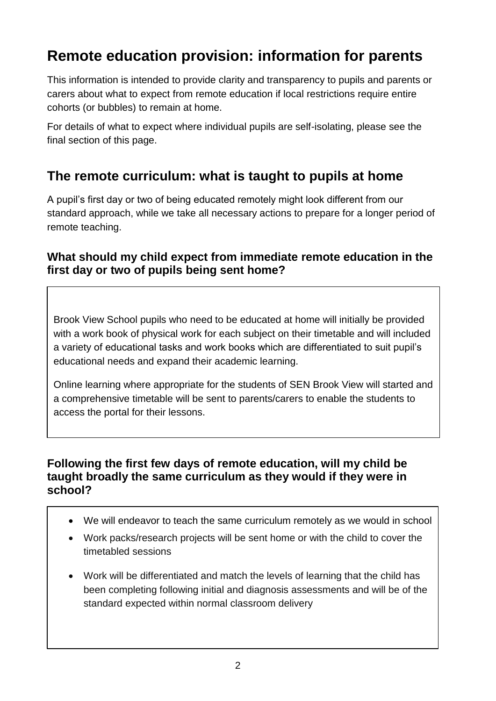# **Remote education provision: information for parents**

This information is intended to provide clarity and transparency to pupils and parents or carers about what to expect from remote education if local restrictions require entire cohorts (or bubbles) to remain at home.

For details of what to expect where individual pupils are self-isolating, please see the final section of this page.

## **The remote curriculum: what is taught to pupils at home**

A pupil's first day or two of being educated remotely might look different from our standard approach, while we take all necessary actions to prepare for a longer period of remote teaching.

#### **What should my child expect from immediate remote education in the first day or two of pupils being sent home?**

Brook View School pupils who need to be educated at home will initially be provided with a work book of physical work for each subject on their timetable and will included a variety of educational tasks and work books which are differentiated to suit pupil's educational needs and expand their academic learning.

Online learning where appropriate for the students of SEN Brook View will started and a comprehensive timetable will be sent to parents/carers to enable the students to access the portal for their lessons.

#### **Following the first few days of remote education, will my child be taught broadly the same curriculum as they would if they were in school?**

- We will endeavor to teach the same curriculum remotely as we would in school
- Work packs/research projects will be sent home or with the child to cover the timetabled sessions
- Work will be differentiated and match the levels of learning that the child has been completing following initial and diagnosis assessments and will be of the standard expected within normal classroom delivery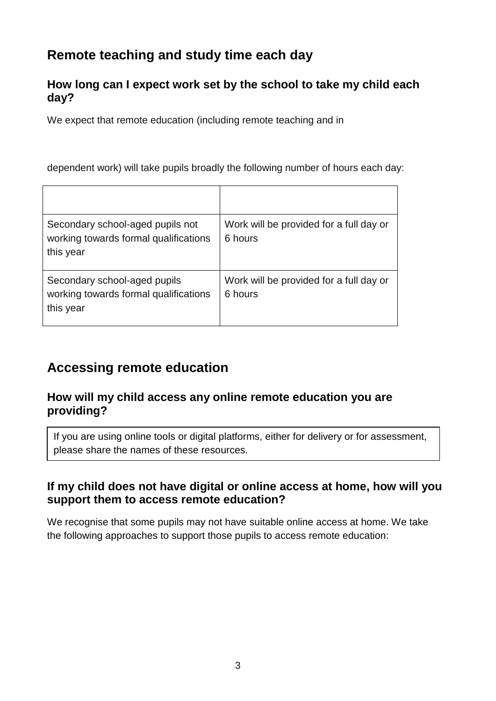# **Remote teaching and study time each day**

#### **How long can I expect work set by the school to take my child each day?**

We expect that remote education (including remote teaching and in

dependent work) will take pupils broadly the following number of hours each day:

| Secondary school-aged pupils not<br>working towards formal qualifications<br>this year | Work will be provided for a full day or<br>6 hours |
|----------------------------------------------------------------------------------------|----------------------------------------------------|
| Secondary school-aged pupils<br>working towards formal qualifications<br>this year     | Work will be provided for a full day or<br>6 hours |

# **Accessing remote education**

#### **How will my child access any online remote education you are providing?**

If you are using online tools or digital platforms, either for delivery or for assessment, please share the names of these resources.

#### **If my child does not have digital or online access at home, how will you support them to access remote education?**

We recognise that some pupils may not have suitable online access at home. We take the following approaches to support those pupils to access remote education: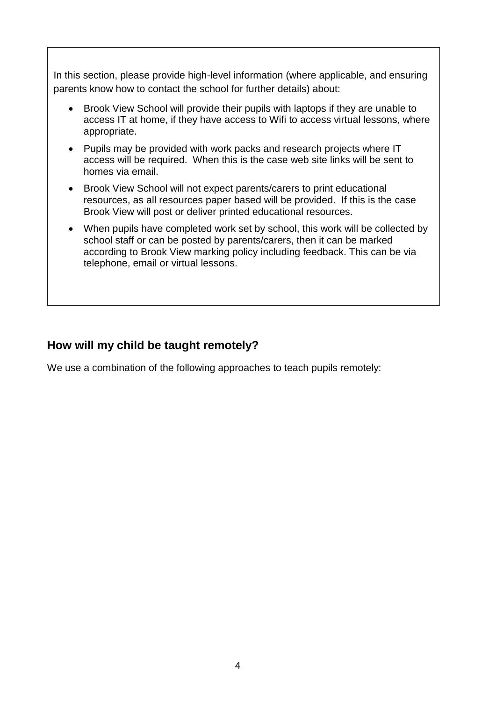In this section, please provide high-level information (where applicable, and ensuring parents know how to contact the school for further details) about:

- Brook View School will provide their pupils with laptops if they are unable to access IT at home, if they have access to Wifi to access virtual lessons, where appropriate.
- Pupils may be provided with work packs and research projects where IT access will be required. When this is the case web site links will be sent to homes via email.
- Brook View School will not expect parents/carers to print educational resources, as all resources paper based will be provided. If this is the case Brook View will post or deliver printed educational resources.
- When pupils have completed work set by school, this work will be collected by school staff or can be posted by parents/carers, then it can be marked according to Brook View marking policy including feedback. This can be via telephone, email or virtual lessons.

#### **How will my child be taught remotely?**

We use a combination of the following approaches to teach pupils remotely: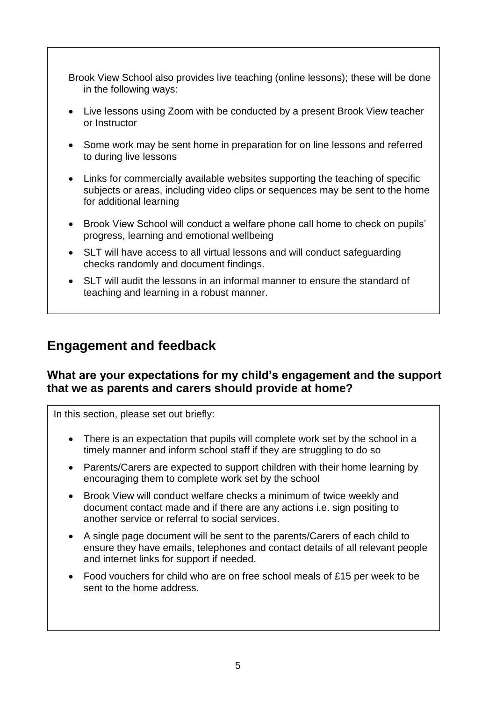Brook View School also provides live teaching (online lessons); these will be done in the following ways:

- Live lessons using Zoom with be conducted by a present Brook View teacher or Instructor
- Some work may be sent home in preparation for on line lessons and referred to during live lessons
- Links for commercially available websites supporting the teaching of specific subjects or areas, including video clips or sequences may be sent to the home for additional learning
- Brook View School will conduct a welfare phone call home to check on pupils' progress, learning and emotional wellbeing
- SLT will have access to all virtual lessons and will conduct safeguarding checks randomly and document findings.
- SLT will audit the lessons in an informal manner to ensure the standard of teaching and learning in a robust manner.

### **Engagement and feedback**

#### **What are your expectations for my child's engagement and the support that we as parents and carers should provide at home?**

In this section, please set out briefly:

- There is an expectation that pupils will complete work set by the school in a timely manner and inform school staff if they are struggling to do so
- Parents/Carers are expected to support children with their home learning by encouraging them to complete work set by the school
- Brook View will conduct welfare checks a minimum of twice weekly and document contact made and if there are any actions i.e. sign positing to another service or referral to social services.
- A single page document will be sent to the parents/Carers of each child to ensure they have emails, telephones and contact details of all relevant people and internet links for support if needed.
- Food vouchers for child who are on free school meals of £15 per week to be sent to the home address.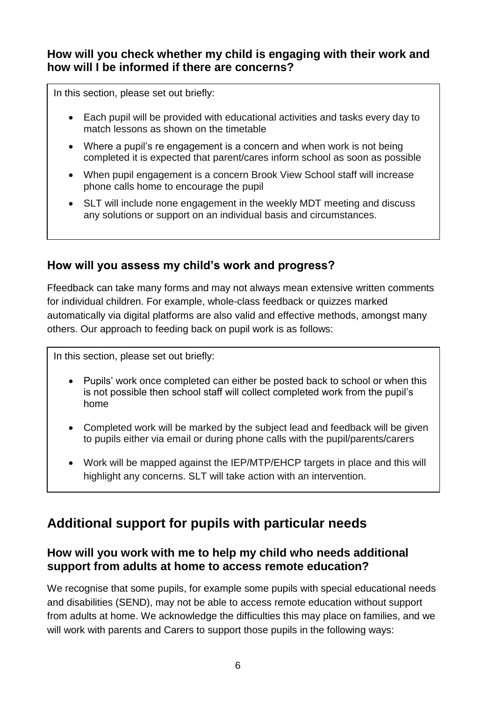#### **How will you check whether my child is engaging with their work and how will I be informed if there are concerns?**

In this section, please set out briefly:

- Each pupil will be provided with educational activities and tasks every day to match lessons as shown on the timetable
- Where a pupil's re engagement is a concern and when work is not being completed it is expected that parent/cares inform school as soon as possible
- When pupil engagement is a concern Brook View School staff will increase phone calls home to encourage the pupil
- SLT will include none engagement in the weekly MDT meeting and discuss any solutions or support on an individual basis and circumstances.

#### **How will you assess my child's work and progress?**

Ffeedback can take many forms and may not always mean extensive written comments for individual children. For example, whole-class feedback or quizzes marked automatically via digital platforms are also valid and effective methods, amongst many others. Our approach to feeding back on pupil work is as follows:

In this section, please set out briefly:

- Pupils' work once completed can either be posted back to school or when this is not possible then school staff will collect completed work from the pupil's home
- Completed work will be marked by the subject lead and feedback will be given to pupils either via email or during phone calls with the pupil/parents/carers
- Work will be mapped against the IEP/MTP/EHCP targets in place and this will highlight any concerns. SLT will take action with an intervention.

# Additional support for pupils with particular needs

#### **How will you work with me to help my child who needs additional support from adults at home to access remote education?**

We recognise that some pupils, for example some pupils with special educational needs and disabilities (SEND), may not be able to access remote education without support from adults at home. We acknowledge the difficulties this may place on families, and we will work with parents and Carers to support those pupils in the following ways: